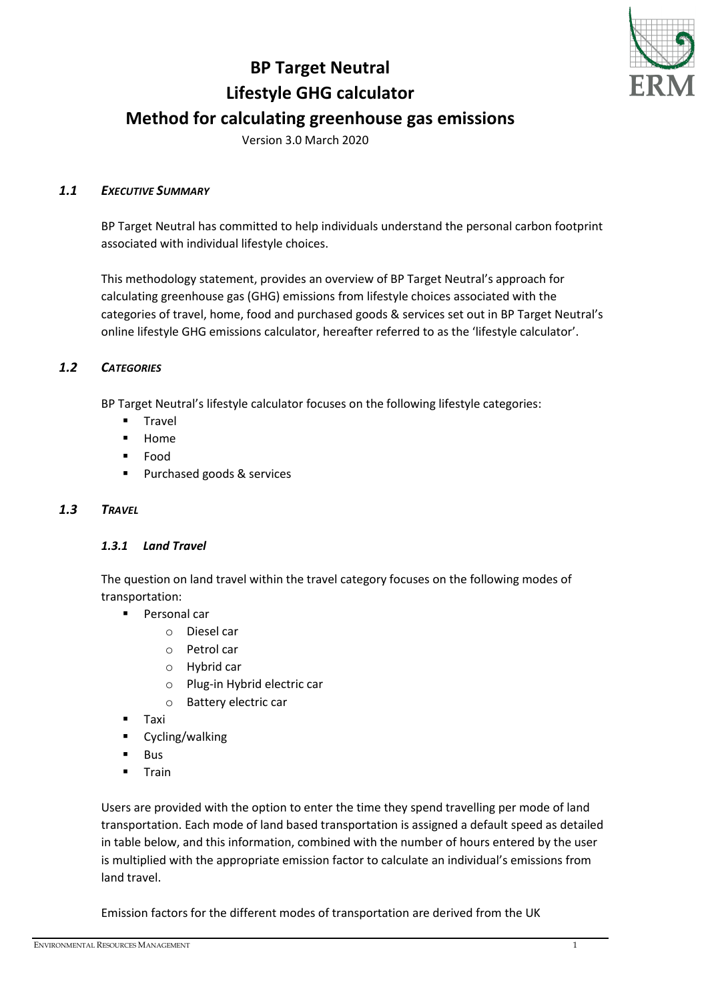# **BP Target Neutral Lifestyle GHG calculator Method for calculating greenhouse gas emissions**



Version 3.0 March 2020

## *1.1 EXECUTIVE SUMMARY*

BP Target Neutral has committed to help individuals understand the personal carbon footprint associated with individual lifestyle choices.

This methodology statement, provides an overview of BP Target Neutral's approach for calculating greenhouse gas (GHG) emissions from lifestyle choices associated with the categories of travel, home, food and purchased goods & services set out in BP Target Neutral's online lifestyle GHG emissions calculator, hereafter referred to as the 'lifestyle calculator'.

## *1.2 CATEGORIES*

BP Target Neutral's lifestyle calculator focuses on the following lifestyle categories:

- Travel
- **-** Home
- Food
- **Purchased goods & services**

## *1.3 TRAVEL*

## *1.3.1 Land Travel*

The question on land travel within the travel category focuses on the following modes of transportation:

- Personal car
	- o Diesel car
	- o Petrol car
	- o Hybrid car
	- o Plug-in Hybrid electric car
	- o Battery electric car
- Taxi
- Cycling/walking
- Bus
- **Train**

Users are provided with the option to enter the time they spend travelling per mode of land transportation. Each mode of land based transportation is assigned a default speed as detailed in table below, and this information, combined with the number of hours entered by the user is multiplied with the appropriate emission factor to calculate an individual's emissions from land travel.

Emission factors for the different modes of transportation are derived from the UK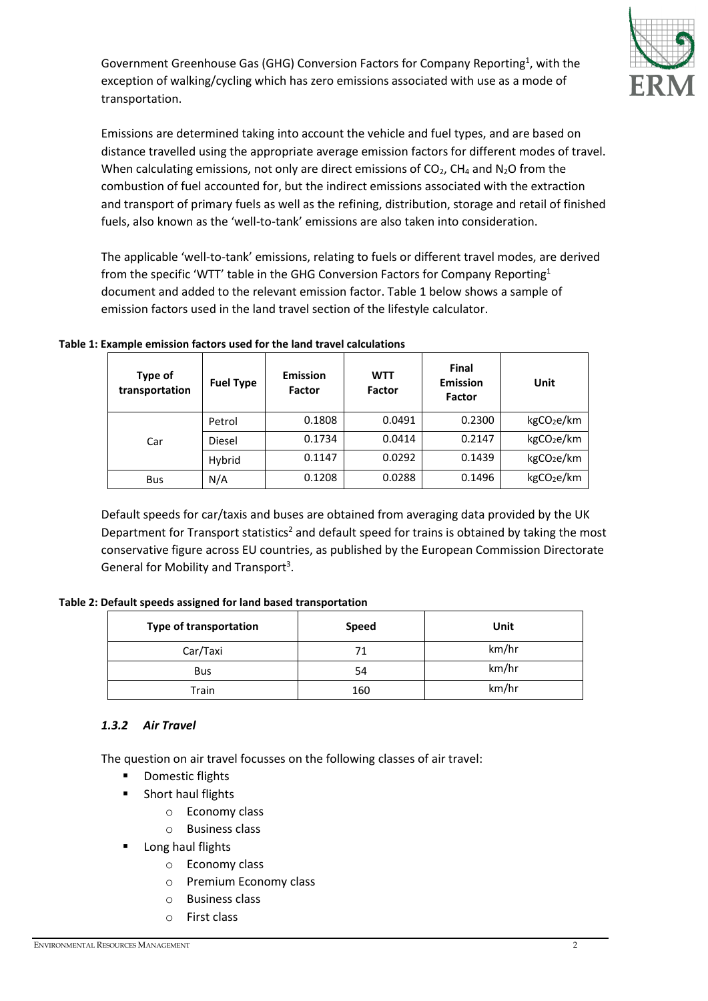Government Greenhouse Gas (GHG) Conversion Factors for Company Reporting<sup>1</sup>, with the exception of walking/cycling which has zero emissions associated with use as a mode of transportation.



Emissions are determined taking into account the vehicle and fuel types, and are based on distance travelled using the appropriate average emission factors for different modes of travel. When calculating emissions, not only are direct emissions of  $CO<sub>2</sub>$ , CH<sub>4</sub> and N<sub>2</sub>O from the combustion of fuel accounted for, but the indirect emissions associated with the extraction and transport of primary fuels as well as the refining, distribution, storage and retail of finished fuels, also known as the 'well-to-tank' emissions are also taken into consideration.

The applicable 'well-to-tank' emissions, relating to fuels or different travel modes, are derived from the specific 'WTT' table in the GHG Conversion Factors for Company Reporting<sup>1</sup> document and added to the relevant emission factor. Table 1 below shows a sample of emission factors used in the land travel section of the lifestyle calculator.

**Table 1: Example emission factors used for the land travel calculations**

| Type of<br>transportation | <b>Fuel Type</b> | <b>Emission</b><br><b>Factor</b> | <b>WTT</b><br><b>Factor</b> | <b>Final</b><br><b>Emission</b><br>Factor | Unit                   |
|---------------------------|------------------|----------------------------------|-----------------------------|-------------------------------------------|------------------------|
|                           | Petrol           | 0.1808                           | 0.0491                      | 0.2300                                    | kgCO <sub>2</sub> e/km |
| Car                       | Diesel           | 0.1734                           | 0.0414                      | 0.2147                                    | kgCO <sub>2</sub> e/km |
|                           | Hybrid           | 0.1147                           | 0.0292                      | 0.1439                                    | kgCO <sub>2</sub> e/km |
| <b>Bus</b>                | N/A              | 0.1208                           | 0.0288                      | 0.1496                                    | kgCO <sub>2</sub> e/km |

Default speeds for car/taxis and buses are obtained from averaging data provided by the UK Department for Transport statistics<sup>2</sup> and default speed for trains is obtained by taking the most conservative figure across EU countries, as published by the European Commission Directorate General for Mobility and Transport<sup>3</sup>.

| <b>Type of transportation</b> | <b>Speed</b> | Unit  |
|-------------------------------|--------------|-------|
| Car/Taxi                      | 71           | km/hr |
| <b>Bus</b>                    | 54           | km/hr |
| Train                         | 160          | km/hr |

## *1.3.2 Air Travel*

The question on air travel focusses on the following classes of air travel:

- **•** Domestic flights
- **Short haul flights** 
	- o Economy class
	- o Business class
- Long haul flights
	- o Economy class
	- o Premium Economy class
	- o Business class
	- o First class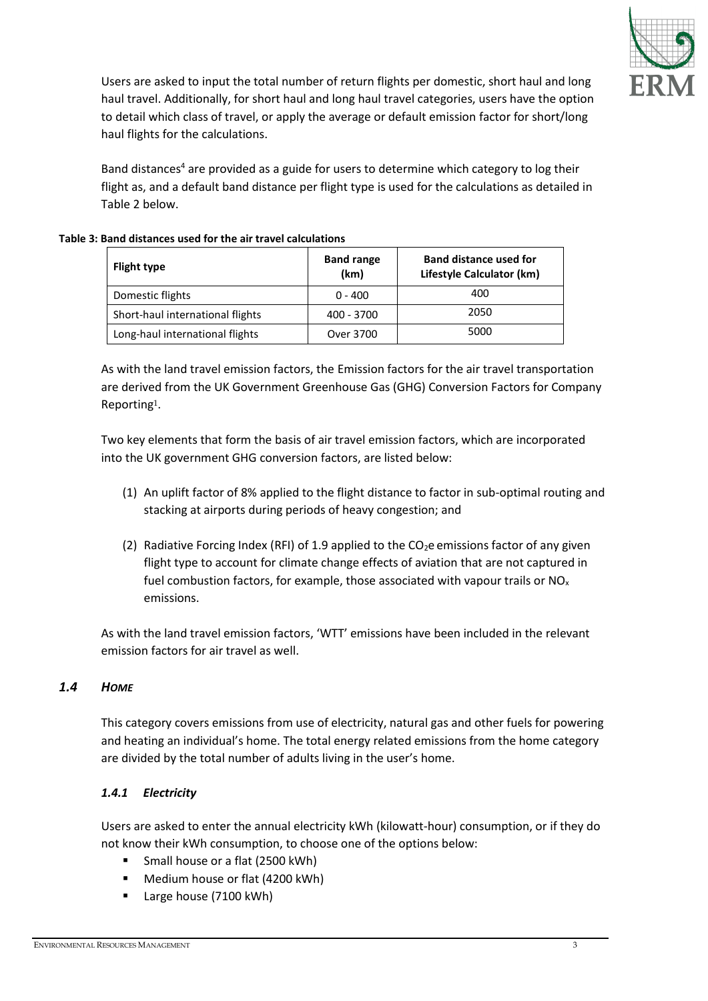

Users are asked to input the total number of return flights per domestic, short haul and long haul travel. Additionally, for short haul and long haul travel categories, users have the option to detail which class of travel, or apply the average or default emission factor for short/long haul flights for the calculations.

Band distances<sup>4</sup> are provided as a guide for users to determine which category to log their flight as, and a default band distance per flight type is used for the calculations as detailed in Table 2 below.

#### **Table 3: Band distances used for the air travel calculations**

| <b>Flight type</b>               | <b>Band range</b><br>(km) | <b>Band distance used for</b><br>Lifestyle Calculator (km) |  |
|----------------------------------|---------------------------|------------------------------------------------------------|--|
| Domestic flights                 | $0 - 400$                 | 400                                                        |  |
| Short-haul international flights | 400 - 3700                | 2050                                                       |  |
| Long-haul international flights  | Over 3700                 | 5000                                                       |  |

As with the land travel emission factors, the Emission factors for the air travel transportation are derived from the UK Government Greenhouse Gas (GHG) Conversion Factors for Company Reporting1.

Two key elements that form the basis of air travel emission factors, which are incorporated into the UK government GHG conversion factors, are listed below:

- (1) An uplift factor of 8% applied to the flight distance to factor in sub-optimal routing and stacking at airports during periods of heavy congestion; and
- (2) Radiative Forcing Index (RFI) of 1.9 applied to the  $CO<sub>2</sub>e$  emissions factor of any given flight type to account for climate change effects of aviation that are not captured in fuel combustion factors, for example, those associated with vapour trails or  $NO<sub>x</sub>$ emissions.

As with the land travel emission factors, 'WTT' emissions have been included in the relevant emission factors for air travel as well.

## *1.4 HOME*

This category covers emissions from use of electricity, natural gas and other fuels for powering and heating an individual's home. The total energy related emissions from the home category are divided by the total number of adults living in the user's home.

## *1.4.1 Electricity*

Users are asked to enter the annual electricity kWh (kilowatt-hour) consumption, or if they do not know their kWh consumption, to choose one of the options below:

- **Small house or a flat (2500 kWh)**
- **Medium house or flat (4200 kWh)**
- Large house (7100 kWh)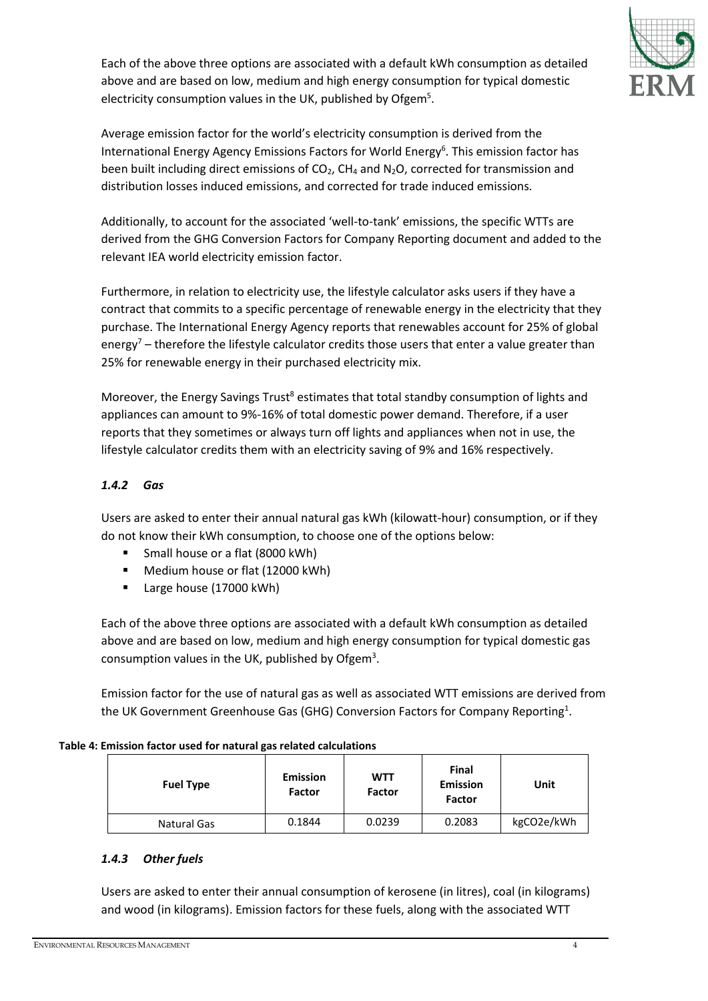Each of the above three options are associated with a default kWh consumption as detailed above and are based on low, medium and high energy consumption for typical domestic electricity consumption values in the UK, published by Ofgem<sup>5</sup>.



Average emission factor for the world's electricity consumption is derived from the International Energy Agency Emissions Factors for World Energy<sup>6</sup>. This emission factor has been built including direct emissions of  $CO<sub>2</sub>$ , CH<sub>4</sub> and N<sub>2</sub>O, corrected for transmission and distribution losses induced emissions, and corrected for trade induced emissions.

Additionally, to account for the associated 'well-to-tank' emissions, the specific WTTs are derived from the GHG Conversion Factors for Company Reporting document and added to the relevant IEA world electricity emission factor.

Furthermore, in relation to electricity use, the lifestyle calculator asks users if they have a contract that commits to a specific percentage of renewable energy in the electricity that they purchase. The International Energy Agency reports that renewables account for 25% of global energy<sup>7</sup> – therefore the lifestyle calculator credits those users that enter a value greater than 25% for renewable energy in their purchased electricity mix.

Moreover, the Energy Savings Trust<sup>8</sup> estimates that total standby consumption of lights and appliances can amount to 9%-16% of total domestic power demand. Therefore, if a user reports that they sometimes or always turn off lights and appliances when not in use, the lifestyle calculator credits them with an electricity saving of 9% and 16% respectively.

## *1.4.2 Gas*

Users are asked to enter their annual natural gas kWh (kilowatt-hour) consumption, or if they do not know their kWh consumption, to choose one of the options below:

- Small house or a flat (8000 kWh)
- **Medium house or flat (12000 kWh)**
- Large house (17000 kWh)

Each of the above three options are associated with a default kWh consumption as detailed above and are based on low, medium and high energy consumption for typical domestic gas consumption values in the UK, published by Ofgem<sup>3</sup>.

Emission factor for the use of natural gas as well as associated WTT emissions are derived from the UK Government Greenhouse Gas (GHG) Conversion Factors for Company Reporting<sup>1</sup>.

## **Table 4: Emission factor used for natural gas related calculations**

| <b>Fuel Type</b> | <b>Emission</b><br>Factor | <b>WTT</b><br><b>Factor</b> | Final<br><b>Emission</b><br>Factor | Unit       |
|------------------|---------------------------|-----------------------------|------------------------------------|------------|
| Natural Gas      | 0.1844                    | 0.0239                      | 0.2083                             | kgCO2e/kWh |

## *1.4.3 Other fuels*

Users are asked to enter their annual consumption of kerosene (in litres), coal (in kilograms) and wood (in kilograms). Emission factors for these fuels, along with the associated WTT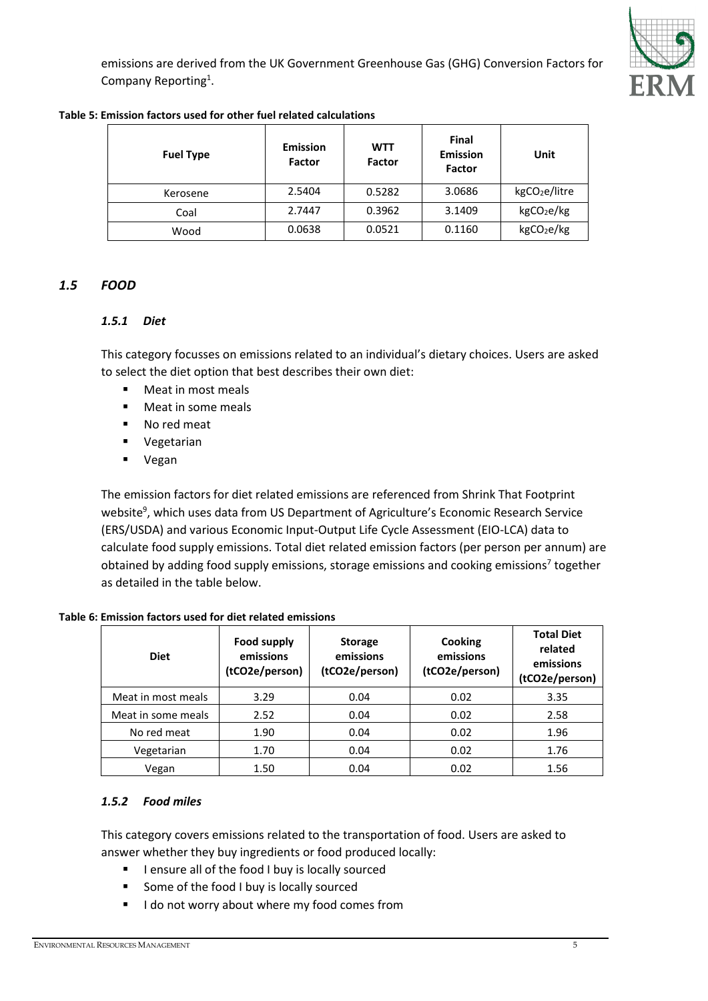emissions are derived from the UK Government Greenhouse Gas (GHG) Conversion Factors for Company Reporting<sup>1</sup>.



#### **Table 5: Emission factors used for other fuel related calculations**

| <b>Fuel Type</b> | <b>Emission</b><br>Factor | <b>WTT</b><br><b>Factor</b> | Final<br><b>Emission</b><br>Factor | Unit                      |
|------------------|---------------------------|-----------------------------|------------------------------------|---------------------------|
| Kerosene         | 2.5404                    | 0.5282                      | 3.0686                             | kgCO <sub>2</sub> e/litre |
| Coal             | 2.7447                    | 0.3962                      | 3.1409                             | kgCO <sub>2</sub> e/kg    |
| Wood             | 0.0638                    | 0.0521                      | 0.1160                             | kgCO <sub>2</sub> e/kg    |

## *1.5 FOOD*

## *1.5.1 Diet*

This category focusses on emissions related to an individual's dietary choices. Users are asked to select the diet option that best describes their own diet:

- **Meat in most meals**
- **Meat in some meals**
- No red meat
- **•** Vegetarian
- Vegan

The emission factors for diet related emissions are referenced from Shrink That Footprint website<sup>9</sup>, which uses data from US Department of Agriculture's Economic Research Service (ERS/USDA) and various Economic Input-Output Life Cycle Assessment (EIO-LCA) data to calculate food supply emissions. Total diet related emission factors (per person per annum) are obtained by adding food supply emissions, storage emissions and cooking emissions<sup>7</sup> together as detailed in the table below.

## **Table 6: Emission factors used for diet related emissions**

| <b>Diet</b>        | Food supply<br>emissions<br>(tCO2e/person) | <b>Storage</b><br>emissions<br>(tCO2e/person) | <b>Cooking</b><br>emissions<br>(tCO2e/person) | <b>Total Diet</b><br>related<br>emissions<br>(tCO2e/person) |
|--------------------|--------------------------------------------|-----------------------------------------------|-----------------------------------------------|-------------------------------------------------------------|
| Meat in most meals | 3.29                                       | 0.04                                          | 0.02                                          | 3.35                                                        |
| Meat in some meals | 2.52                                       | 0.04                                          | 0.02                                          | 2.58                                                        |
| No red meat        | 1.90                                       | 0.04                                          | 0.02                                          | 1.96                                                        |
| Vegetarian         | 1.70                                       | 0.04                                          | 0.02                                          | 1.76                                                        |
| Vegan              | 1.50                                       | 0.04                                          | 0.02                                          | 1.56                                                        |

## *1.5.2 Food miles*

This category covers emissions related to the transportation of food. Users are asked to answer whether they buy ingredients or food produced locally:

- **I** lensure all of the food I buy is locally sourced
- Some of the food I buy is locally sourced
- I do not worry about where my food comes from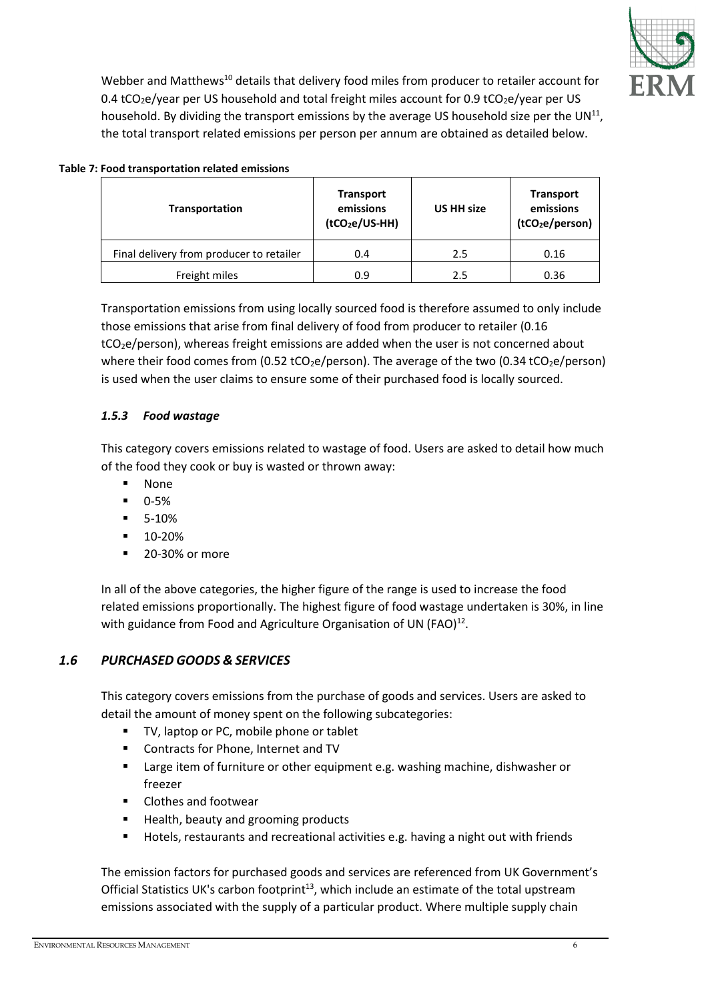

Webber and Matthews<sup>10</sup> details that delivery food miles from producer to retailer account for 0.4 tCO<sub>2</sub>e/year per US household and total freight miles account for 0.9 tCO<sub>2</sub>e/year per US household. By dividing the transport emissions by the average US household size per the UN $^{11}$ , the total transport related emissions per person per annum are obtained as detailed below.

#### **Table 7: Food transportation related emissions**

| <b>Transportation</b>                    | <b>Transport</b><br>emissions<br>(tCO <sub>2</sub> e/US-HH) | <b>US HH size</b> | <b>Transport</b><br>emissions<br>(tCO <sub>2</sub> e/person) |
|------------------------------------------|-------------------------------------------------------------|-------------------|--------------------------------------------------------------|
| Final delivery from producer to retailer | 0.4                                                         | 2.5               | 0.16                                                         |
| Freight miles                            | 0.9                                                         | 2.5               | 0.36                                                         |

Transportation emissions from using locally sourced food is therefore assumed to only include those emissions that arise from final delivery of food from producer to retailer (0.16 tCO2e/person), whereas freight emissions are added when the user is not concerned about where their food comes from (0.52 tCO<sub>2</sub>e/person). The average of the two (0.34 tCO<sub>2</sub>e/person) is used when the user claims to ensure some of their purchased food is locally sourced.

## *1.5.3 Food wastage*

This category covers emissions related to wastage of food. Users are asked to detail how much of the food they cook or buy is wasted or thrown away:

- None
- 0-5%
- 5-10%
- $-10-20%$
- **20-30% or more**

In all of the above categories, the higher figure of the range is used to increase the food related emissions proportionally. The highest figure of food wastage undertaken is 30%, in line with guidance from Food and Agriculture Organisation of UN (FAO) $^{12}$ .

## *1.6 PURCHASED GOODS & SERVICES*

This category covers emissions from the purchase of goods and services. Users are asked to detail the amount of money spent on the following subcategories:

- TV, laptop or PC, mobile phone or tablet
- **Contracts for Phone, Internet and TV**
- **EXECT** Large item of furniture or other equipment e.g. washing machine, dishwasher or freezer
- Clothes and footwear
- Health, beauty and grooming products
- Hotels, restaurants and recreational activities e.g. having a night out with friends

The emission factors for purchased goods and services are referenced from UK Government's Official Statistics UK's carbon footprint<sup>13</sup>, which include an estimate of the total upstream emissions associated with the supply of a particular product. Where multiple supply chain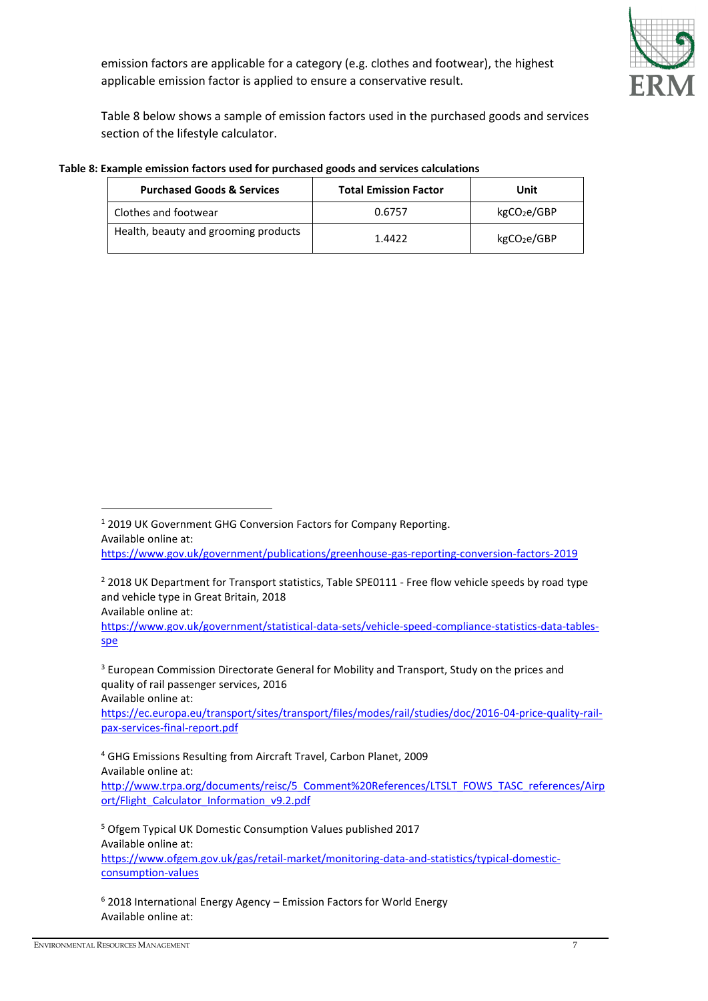emission factors are applicable for a category (e.g. clothes and footwear), the highest applicable emission factor is applied to ensure a conservative result.



Table 8 below shows a sample of emission factors used in the purchased goods and services section of the lifestyle calculator.

| <b>Purchased Goods &amp; Services</b> | <b>Total Emission Factor</b> | Unit                    |  |
|---------------------------------------|------------------------------|-------------------------|--|
| Clothes and footwear                  | 0.6757                       | kgCO <sub>2</sub> e/GBP |  |
| Health, beauty and grooming products  | 1.4422                       | kgCO <sub>2</sub> e/GBP |  |

#### **Table 8: Example emission factors used for purchased goods and services calculations**

1

[https://ec.europa.eu/transport/sites/transport/files/modes/rail/studies/doc/2016-04-price-quality-rail](https://ec.europa.eu/transport/sites/transport/files/modes/rail/studies/doc/2016-04-price-quality-rail-pax-services-final-report.pdf)[pax-services-final-report.pdf](https://ec.europa.eu/transport/sites/transport/files/modes/rail/studies/doc/2016-04-price-quality-rail-pax-services-final-report.pdf) 

<sup>4</sup> GHG Emissions Resulting from Aircraft Travel, Carbon Planet, 2009 Available online at: [http://www.trpa.org/documents/reisc/5\\_Comment%20References/LTSLT\\_FOWS\\_TASC\\_references/Airp](http://www.trpa.org/documents/reisc/5_Comment%20References/LTSLT_FOWS_TASC_references/Airport/Flight_Calculator_Information_v9.2.pdf) ort/Flight\_Calculator\_Information\_v9.2.pdf

<sup>5</sup> Ofgem Typical UK Domestic Consumption Values published 2017 Available online at: [https://www.ofgem.gov.uk/gas/retail-market/monitoring-data-and-statistics/typical-domestic](https://www.ofgem.gov.uk/gas/retail-market/monitoring-data-and-statistics/typical-domestic-consumption-values)[consumption-values](https://www.ofgem.gov.uk/gas/retail-market/monitoring-data-and-statistics/typical-domestic-consumption-values)

<sup>6</sup> 2018 International Energy Agency – Emission Factors for World Energy Available online at:

<sup>1</sup> 2019 UK Government GHG Conversion Factors for Company Reporting. Available online at:

<https://www.gov.uk/government/publications/greenhouse-gas-reporting-conversion-factors-2019>

<sup>&</sup>lt;sup>2</sup> 2018 UK Department for Transport statistics, Table SPE0111 - Free flow vehicle speeds by road type and vehicle type in Great Britain, 2018

Available online at:

[https://www.gov.uk/government/statistical-data-sets/vehicle-speed-compliance-statistics-data-tables](https://www.gov.uk/government/statistical-data-sets/vehicle-speed-compliance-statistics-data-tables-spe)[spe](https://www.gov.uk/government/statistical-data-sets/vehicle-speed-compliance-statistics-data-tables-spe)

<sup>&</sup>lt;sup>3</sup> European Commission Directorate General for Mobility and Transport, Study on the prices and quality of rail passenger services, 2016 Available online at: